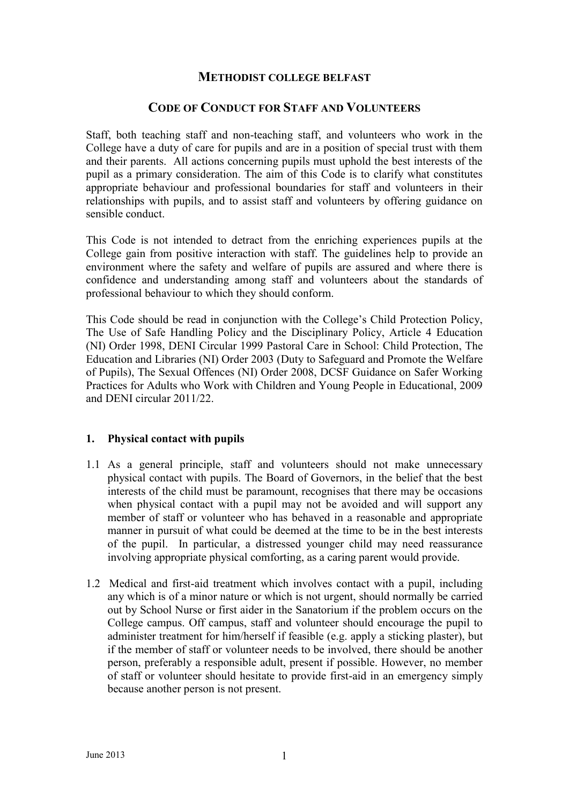#### **METHODIST COLLEGE BELFAST**

#### **CODE OF CONDUCT FOR STAFF AND VOLUNTEERS**

Staff, both teaching staff and non-teaching staff, and volunteers who work in the College have a duty of care for pupils and are in a position of special trust with them and their parents. All actions concerning pupils must uphold the best interests of the pupil as a primary consideration. The aim of this Code is to clarify what constitutes appropriate behaviour and professional boundaries for staff and volunteers in their relationships with pupils, and to assist staff and volunteers by offering guidance on sensible conduct.

This Code is not intended to detract from the enriching experiences pupils at the College gain from positive interaction with staff. The guidelines help to provide an environment where the safety and welfare of pupils are assured and where there is confidence and understanding among staff and volunteers about the standards of professional behaviour to which they should conform.

This Code should be read in conjunction with the College"s Child Protection Policy, The Use of Safe Handling Policy and the Disciplinary Policy, Article 4 Education (NI) Order 1998, DENI Circular 1999 Pastoral Care in School: Child Protection, The Education and Libraries (NI) Order 2003 (Duty to Safeguard and Promote the Welfare of Pupils), The Sexual Offences (NI) Order 2008, DCSF Guidance on Safer Working Practices for Adults who Work with Children and Young People in Educational, 2009 and DENI circular 2011/22.

#### **1. Physical contact with pupils**

- 1.1 As a general principle, staff and volunteers should not make unnecessary physical contact with pupils. The Board of Governors, in the belief that the best interests of the child must be paramount, recognises that there may be occasions when physical contact with a pupil may not be avoided and will support any member of staff or volunteer who has behaved in a reasonable and appropriate manner in pursuit of what could be deemed at the time to be in the best interests of the pupil. In particular, a distressed younger child may need reassurance involving appropriate physical comforting, as a caring parent would provide.
- 1.2 Medical and first-aid treatment which involves contact with a pupil, including any which is of a minor nature or which is not urgent, should normally be carried out by School Nurse or first aider in the Sanatorium if the problem occurs on the College campus. Off campus, staff and volunteer should encourage the pupil to administer treatment for him/herself if feasible (e.g. apply a sticking plaster), but if the member of staff or volunteer needs to be involved, there should be another person, preferably a responsible adult, present if possible. However, no member of staff or volunteer should hesitate to provide first-aid in an emergency simply because another person is not present.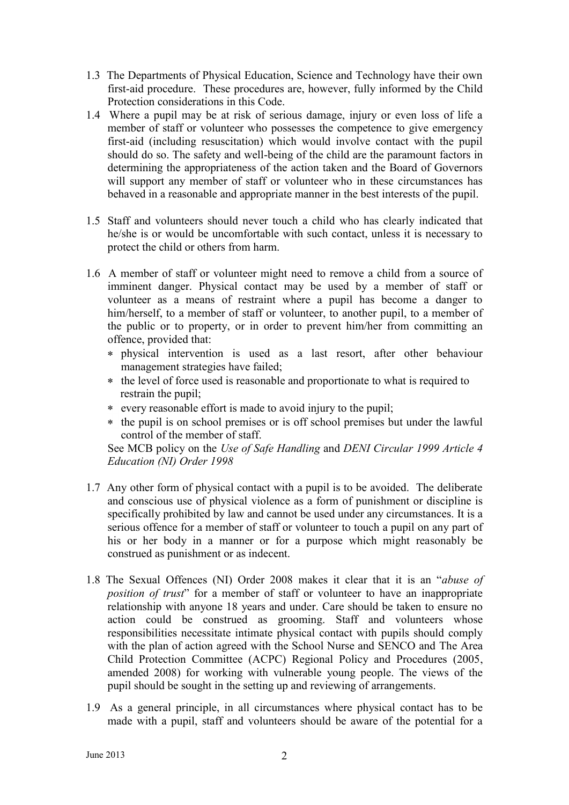- 1.3 The Departments of Physical Education, Science and Technology have their own first-aid procedure. These procedures are, however, fully informed by the Child Protection considerations in this Code.
- 1.4 Where a pupil may be at risk of serious damage, injury or even loss of life a member of staff or volunteer who possesses the competence to give emergency first-aid (including resuscitation) which would involve contact with the pupil should do so. The safety and well-being of the child are the paramount factors in determining the appropriateness of the action taken and the Board of Governors will support any member of staff or volunteer who in these circumstances has behaved in a reasonable and appropriate manner in the best interests of the pupil.
- 1.5 Staff and volunteers should never touch a child who has clearly indicated that he/she is or would be uncomfortable with such contact, unless it is necessary to protect the child or others from harm.
- 1.6 A member of staff or volunteer might need to remove a child from a source of imminent danger. Physical contact may be used by a member of staff or volunteer as a means of restraint where a pupil has become a danger to him/herself, to a member of staff or volunteer, to another pupil, to a member of the public or to property, or in order to prevent him/her from committing an offence, provided that:
	- physical intervention is used as a last resort, after other behaviour management strategies have failed;
	- \* the level of force used is reasonable and proportionate to what is required to restrain the pupil;
	- every reasonable effort is made to avoid injury to the pupil;
	- the pupil is on school premises or is off school premises but under the lawful control of the member of staff.

See MCB policy on the *Use of Safe Handling* and *DENI Circular 1999 Article 4 Education (NI) Order 1998*

- 1.7 Any other form of physical contact with a pupil is to be avoided. The deliberate and conscious use of physical violence as a form of punishment or discipline is specifically prohibited by law and cannot be used under any circumstances. It is a serious offence for a member of staff or volunteer to touch a pupil on any part of his or her body in a manner or for a purpose which might reasonably be construed as punishment or as indecent.
- 1.8 The Sexual Offences (NI) Order 2008 makes it clear that it is an "*abuse of position of trust*" for a member of staff or volunteer to have an inappropriate relationship with anyone 18 years and under. Care should be taken to ensure no action could be construed as grooming. Staff and volunteers whose responsibilities necessitate intimate physical contact with pupils should comply with the plan of action agreed with the School Nurse and SENCO and The Area Child Protection Committee (ACPC) Regional Policy and Procedures (2005, amended 2008) for working with vulnerable young people. The views of the pupil should be sought in the setting up and reviewing of arrangements.
- 1.9 As a general principle, in all circumstances where physical contact has to be made with a pupil, staff and volunteers should be aware of the potential for a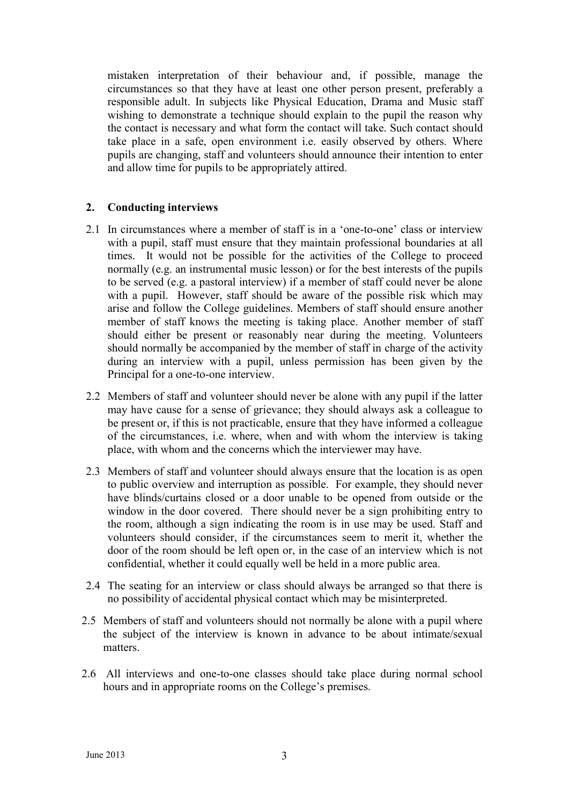mistaken interpretation of their behaviour and, if possible, manage the circumstances so that they have at least one other person present, preferably a responsible adult. In subjects like Physical Education, Drama and Music staff wishing to demonstrate a technique should explain to the pupil the reason why the contact is necessary and what form the contact will take. Such contact should take place in a safe, open environment i.e. easily observed by others. Where pupils are changing, staff and volunteers should announce their intention to enter and allow time for pupils to be appropriately attired.

# **2. Conducting interviews**

- 2.1 In circumstances where a member of staff is in a "one-to-one" class or interview with a pupil, staff must ensure that they maintain professional boundaries at all times. It would not be possible for the activities of the College to proceed normally (e.g. an instrumental music lesson) or for the best interests of the pupils to be served (e.g. a pastoral interview) if a member of staff could never be alone with a pupil. However, staff should be aware of the possible risk which may arise and follow the College guidelines. Members of staff should ensure another member of staff knows the meeting is taking place. Another member of staff should either be present or reasonably near during the meeting. Volunteers should normally be accompanied by the member of staff in charge of the activity during an interview with a pupil, unless permission has been given by the Principal for a one-to-one interview.
- 2.2 Members of staff and volunteer should never be alone with any pupil if the latter may have cause for a sense of grievance; they should always ask a colleague to be present or, if this is not practicable, ensure that they have informed a colleague of the circumstances, i.e. where, when and with whom the interview is taking place, with whom and the concerns which the interviewer may have.
- 2.3 Members of staff and volunteer should always ensure that the location is as open to public overview and interruption as possible. For example, they should never have blinds/curtains closed or a door unable to be opened from outside or the window in the door covered. There should never be a sign prohibiting entry to the room, although a sign indicating the room is in use may be used. Staff and volunteers should consider, if the circumstances seem to merit it, whether the door of the room should be left open or, in the case of an interview which is not confidential, whether it could equally well be held in a more public area.
- 2.4 The seating for an interview or class should always be arranged so that there is no possibility of accidental physical contact which may be misinterpreted.
- 2.5 Members of staff and volunteers should not normally be alone with a pupil where the subject of the interview is known in advance to be about intimate/sexual matters.
- 2.6 All interviews and one-to-one classes should take place during normal school hours and in appropriate rooms on the College's premises.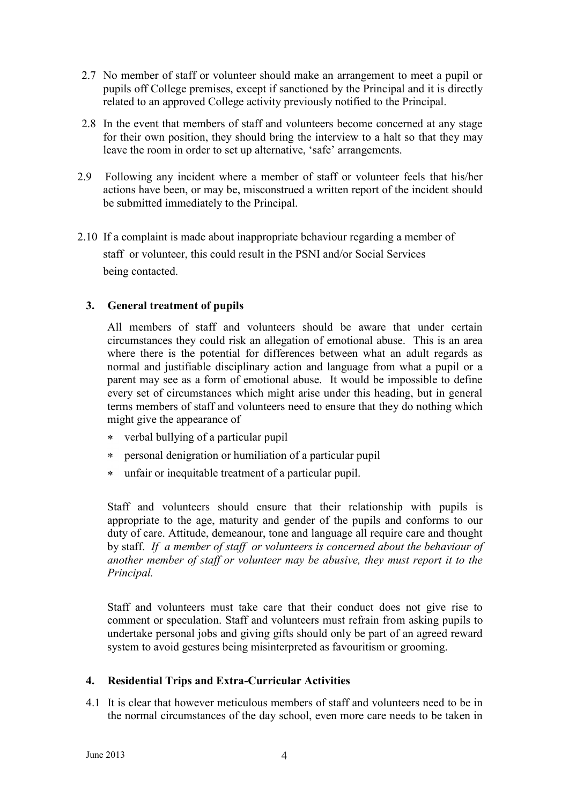- 2.7 No member of staff or volunteer should make an arrangement to meet a pupil or pupils off College premises, except if sanctioned by the Principal and it is directly related to an approved College activity previously notified to the Principal.
- 2.8 In the event that members of staff and volunteers become concerned at any stage for their own position, they should bring the interview to a halt so that they may leave the room in order to set up alternative, 'safe' arrangements.
- 2.9 Following any incident where a member of staff or volunteer feels that his/her actions have been, or may be, misconstrued a written report of the incident should be submitted immediately to the Principal.
- 2.10 If a complaint is made about inappropriate behaviour regarding a member of staff or volunteer, this could result in the PSNI and/or Social Services being contacted.

# **3. General treatment of pupils**

All members of staff and volunteers should be aware that under certain circumstances they could risk an allegation of emotional abuse. This is an area where there is the potential for differences between what an adult regards as normal and justifiable disciplinary action and language from what a pupil or a parent may see as a form of emotional abuse. It would be impossible to define every set of circumstances which might arise under this heading, but in general terms members of staff and volunteers need to ensure that they do nothing which might give the appearance of

- verbal bullying of a particular pupil
- personal denigration or humiliation of a particular pupil
- unfair or inequitable treatment of a particular pupil.  $\ast$

Staff and volunteers should ensure that their relationship with pupils is appropriate to the age, maturity and gender of the pupils and conforms to our duty of care. Attitude, demeanour, tone and language all require care and thought by staff. *If a member of staff or volunteers is concerned about the behaviour of another member of staff or volunteer may be abusive, they must report it to the Principal.*

Staff and volunteers must take care that their conduct does not give rise to comment or speculation. Staff and volunteers must refrain from asking pupils to undertake personal jobs and giving gifts should only be part of an agreed reward system to avoid gestures being misinterpreted as favouritism or grooming.

# **4. Residential Trips and Extra-Curricular Activities**

4.1 It is clear that however meticulous members of staff and volunteers need to be in the normal circumstances of the day school, even more care needs to be taken in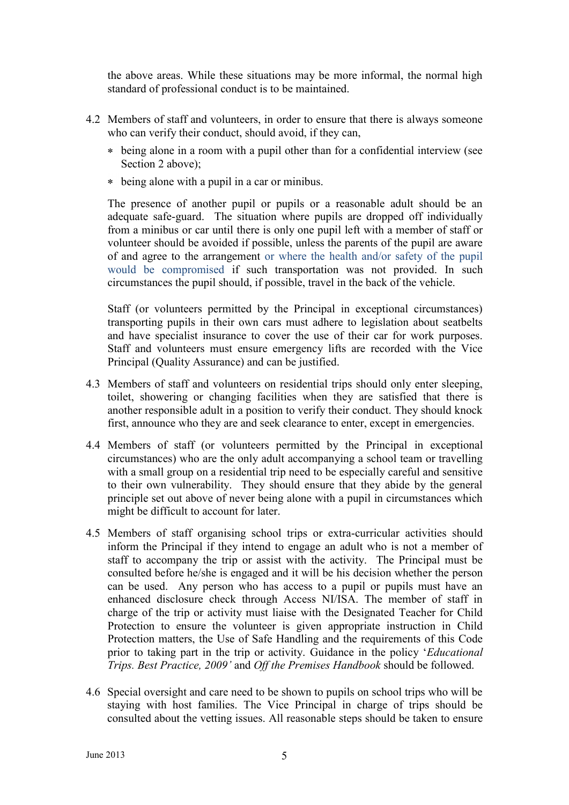the above areas. While these situations may be more informal, the normal high standard of professional conduct is to be maintained.

- 4.2 Members of staff and volunteers, in order to ensure that there is always someone who can verify their conduct, should avoid, if they can,
	- being alone in a room with a pupil other than for a confidential interview (see Section 2 above);
	- being alone with a pupil in a car or minibus.

The presence of another pupil or pupils or a reasonable adult should be an adequate safe-guard. The situation where pupils are dropped off individually from a minibus or car until there is only one pupil left with a member of staff or volunteer should be avoided if possible, unless the parents of the pupil are aware of and agree to the arrangement or where the health and/or safety of the pupil would be compromised if such transportation was not provided. In such circumstances the pupil should, if possible, travel in the back of the vehicle.

Staff (or volunteers permitted by the Principal in exceptional circumstances) transporting pupils in their own cars must adhere to legislation about seatbelts and have specialist insurance to cover the use of their car for work purposes. Staff and volunteers must ensure emergency lifts are recorded with the Vice Principal (Quality Assurance) and can be justified.

- 4.3 Members of staff and volunteers on residential trips should only enter sleeping, toilet, showering or changing facilities when they are satisfied that there is another responsible adult in a position to verify their conduct. They should knock first, announce who they are and seek clearance to enter, except in emergencies.
- 4.4 Members of staff (or volunteers permitted by the Principal in exceptional circumstances) who are the only adult accompanying a school team or travelling with a small group on a residential trip need to be especially careful and sensitive to their own vulnerability. They should ensure that they abide by the general principle set out above of never being alone with a pupil in circumstances which might be difficult to account for later.
- 4.5 Members of staff organising school trips or extra-curricular activities should inform the Principal if they intend to engage an adult who is not a member of staff to accompany the trip or assist with the activity. The Principal must be consulted before he/she is engaged and it will be his decision whether the person can be used. Any person who has access to a pupil or pupils must have an enhanced disclosure check through Access NI/ISA. The member of staff in charge of the trip or activity must liaise with the Designated Teacher for Child Protection to ensure the volunteer is given appropriate instruction in Child Protection matters, the Use of Safe Handling and the requirements of this Code prior to taking part in the trip or activity. Guidance in the policy "*Educational Trips. Best Practice, 2009'* and *Off the Premises Handbook* should be followed.
- 4.6 Special oversight and care need to be shown to pupils on school trips who will be staying with host families. The Vice Principal in charge of trips should be consulted about the vetting issues. All reasonable steps should be taken to ensure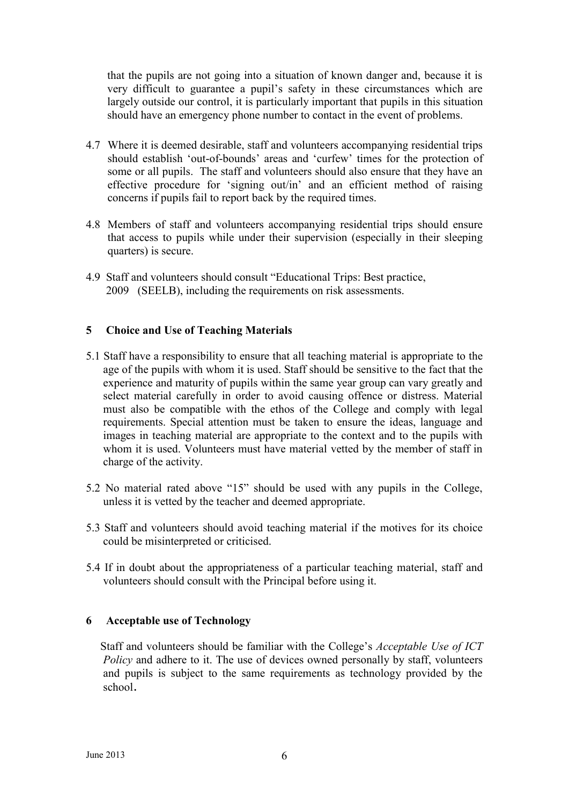that the pupils are not going into a situation of known danger and, because it is very difficult to guarantee a pupil"s safety in these circumstances which are largely outside our control, it is particularly important that pupils in this situation should have an emergency phone number to contact in the event of problems.

- 4.7 Where it is deemed desirable, staff and volunteers accompanying residential trips should establish "out-of-bounds" areas and "curfew" times for the protection of some or all pupils. The staff and volunteers should also ensure that they have an effective procedure for "signing out/in" and an efficient method of raising concerns if pupils fail to report back by the required times.
- 4.8 Members of staff and volunteers accompanying residential trips should ensure that access to pupils while under their supervision (especially in their sleeping quarters) is secure.
- 4.9 Staff and volunteers should consult "Educational Trips: Best practice, 2009 (SEELB), including the requirements on risk assessments.

# **5 Choice and Use of Teaching Materials**

- 5.1 Staff have a responsibility to ensure that all teaching material is appropriate to the age of the pupils with whom it is used. Staff should be sensitive to the fact that the experience and maturity of pupils within the same year group can vary greatly and select material carefully in order to avoid causing offence or distress. Material must also be compatible with the ethos of the College and comply with legal requirements. Special attention must be taken to ensure the ideas, language and images in teaching material are appropriate to the context and to the pupils with whom it is used. Volunteers must have material vetted by the member of staff in charge of the activity.
- 5.2 No material rated above "15" should be used with any pupils in the College, unless it is vetted by the teacher and deemed appropriate.
- 5.3 Staff and volunteers should avoid teaching material if the motives for its choice could be misinterpreted or criticised.
- 5.4 If in doubt about the appropriateness of a particular teaching material, staff and volunteers should consult with the Principal before using it.

# **6 Acceptable use of Technology**

 Staff and volunteers should be familiar with the College"s *Acceptable Use of ICT Policy* and adhere to it. The use of devices owned personally by staff, volunteers and pupils is subject to the same requirements as technology provided by the school.